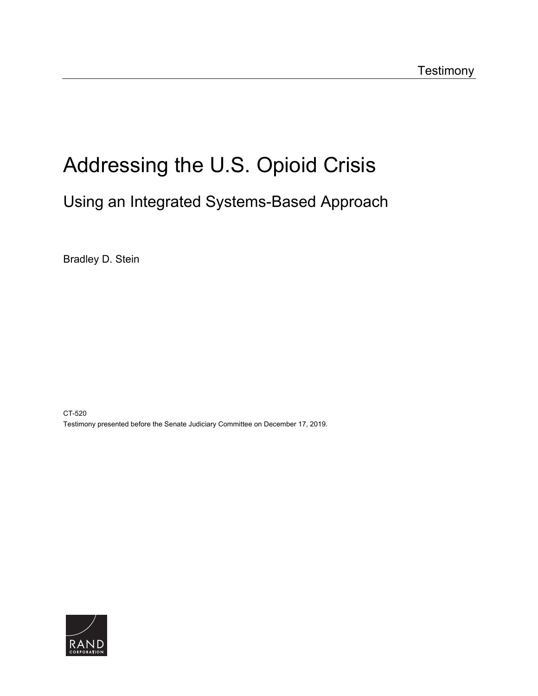# [Addressing the U.S. Opioid Crisis](https://www.rand.org/pubs/testimonies/CT520.html)

# Using an Integrated Systems-Based Approach

Bradley D. Stein

CT-520 Testimony presented before the Senate Judiciary Committee on December 17, 2019.

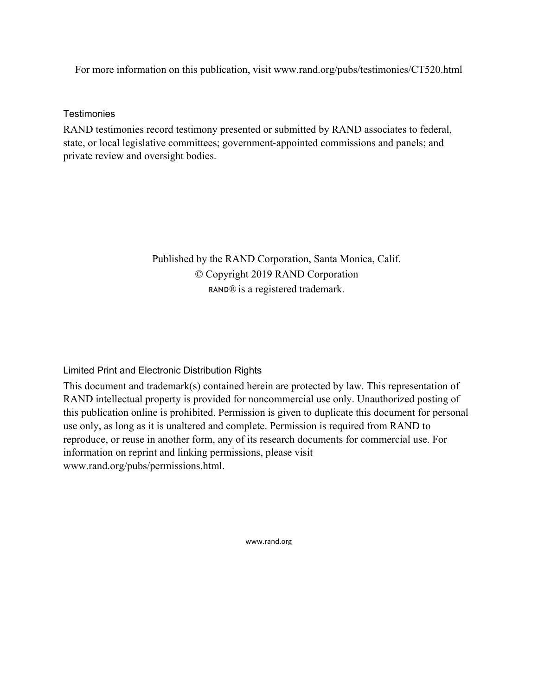For more information on this publication, visit [www.rand.org/pubs/testimonies/CT520.html](http://www.rand.org/pubs/testimonies/CT520.html) 

**Testimonies** 

RAND testimonies record testimony presented or submitted by RAND associates to federal, state, or local legislative committees; government-appointed commissions and panels; and private review and oversight bodies.

> Published by the RAND Corporation, Santa Monica, Calif. © Copyright 2019 RAND Corporation RAND<sup>®</sup> is a registered trademark.

Limited Print and Electronic Distribution Rights

This document and trademark(s) contained herein are protected by law. This representation of RAND intellectual property is provided for noncommercial use only. Unauthorized posting of this publication online is prohibited. Permission is given to duplicate this document for personal use only, as long as it is unaltered and complete. Permission is required from RAND to reproduce, or reuse in another form, any of its research documents for commercial use. For information on reprint and linking permissions, please visit [www.rand.org/pubs/permissions.html.](http://www.rand.org/pubs/permissions.html)

[www.rand.org](http://www.rand.org)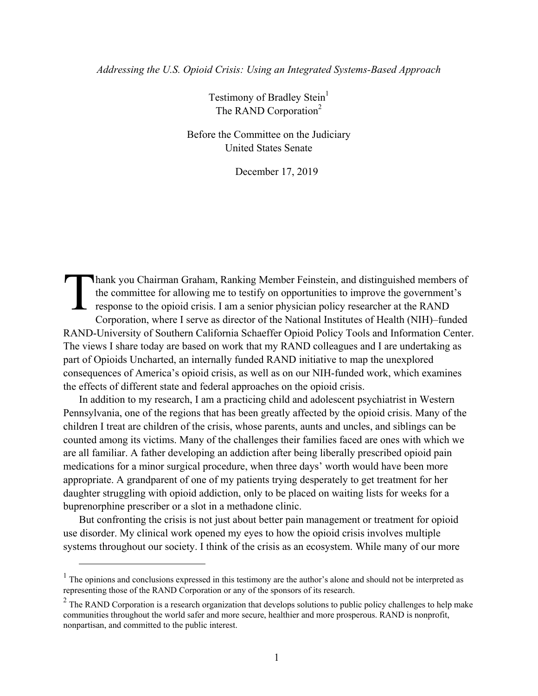#### *Addressing the U.S. Opioid Crisis: Using an Integrated Systems-Based Approach*

Testimony of Bradley Stein<sup>1</sup> The RAND Corporation<sup>2</sup>

Before the Committee on the Judiciary United States Senate

December 17, 2019

hank you Chairman Graham, Ranking Member Feinstein, and distinguished members of the committee for allowing me to testify on opportunities to improve the government's  $\Box$  response to the opioid crisis. I am a senior physician policy researcher at the RAND Corporation, where I serve as director of the National Institutes of Health (NIH)–funded RAND-University of Southern California Schaeffer Opioid Policy Tools and Information Center. The views I share today are based on work that my RAND colleagues and I are undertaking as part of Opioids Uncharted, an internally funded RAND initiative to map the unexplored consequences of America's opioid crisis, as well as on our NIH-funded work, which examines the effects of different state and federal approaches on the opioid crisis. T

In addition to my research, I am a practicing child and adolescent psychiatrist in Western Pennsylvania, one of the regions that has been greatly affected by the opioid crisis. Many of the children I treat are children of the crisis, whose parents, aunts and uncles, and siblings can be counted among its victims. Many of the challenges their families faced are ones with which we are all familiar. A father developing an addiction after being liberally prescribed opioid pain medications for a minor surgical procedure, when three days' worth would have been more appropriate. A grandparent of one of my patients trying desperately to get treatment for her daughter struggling with opioid addiction, only to be placed on waiting lists for weeks for a buprenorphine prescriber or a slot in a methadone clinic.

But confronting the crisis is not just about better pain management or treatment for opioid use disorder. My clinical work opened my eyes to how the opioid crisis involves multiple systems throughout our society. I think of the crisis as an ecosystem. While many of our more

 $\overline{a}$ 

 $<sup>1</sup>$  The opinions and conclusions expressed in this testimony are the author's alone and should not be interpreted as</sup> representing those of the RAND Corporation or any of the sponsors of its research.

 $2$  The RAND Corporation is a research organization that develops solutions to public policy challenges to help make communities throughout the world safer and more secure, healthier and more prosperous. RAND is nonprofit, nonpartisan, and committed to the public interest.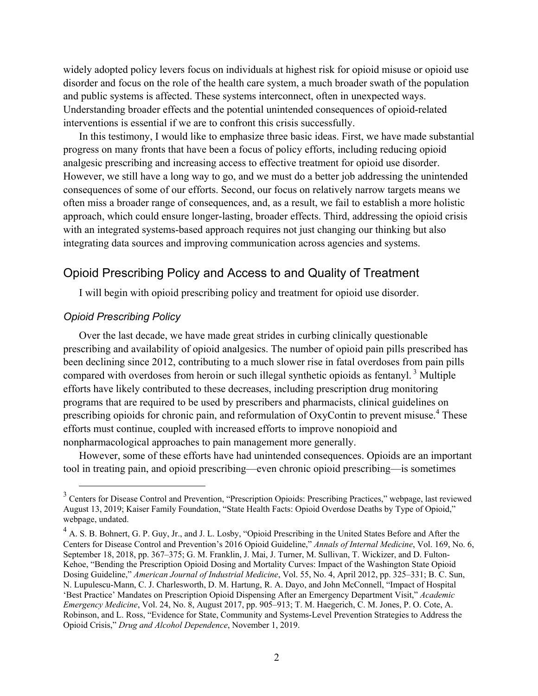widely adopted policy levers focus on individuals at highest risk for opioid misuse or opioid use disorder and focus on the role of the health care system, a much broader swath of the population and public systems is affected. These systems interconnect, often in unexpected ways. Understanding broader effects and the potential unintended consequences of opioid-related interventions is essential if we are to confront this crisis successfully.

In this testimony, I would like to emphasize three basic ideas. First, we have made substantial progress on many fronts that have been a focus of policy efforts, including reducing opioid analgesic prescribing and increasing access to effective treatment for opioid use disorder. However, we still have a long way to go, and we must do a better job addressing the unintended consequences of some of our efforts. Second, our focus on relatively narrow targets means we often miss a broader range of consequences, and, as a result, we fail to establish a more holistic approach, which could ensure longer-lasting, broader effects. Third, addressing the opioid crisis with an integrated systems-based approach requires not just changing our thinking but also integrating data sources and improving communication across agencies and systems.

# Opioid Prescribing Policy and Access to and Quality of Treatment

I will begin with opioid prescribing policy and treatment for opioid use disorder.

#### *Opioid Prescribing Policy*

Over the last decade, we have made great strides in curbing clinically questionable prescribing and availability of opioid analgesics. The number of opioid pain pills prescribed has been declining since 2012, contributing to a much slower rise in fatal overdoses from pain pills compared with overdoses from heroin or such illegal synthetic opioids as fentanyl.<sup>3</sup> Multiple efforts have likely contributed to these decreases, including prescription drug monitoring programs that are required to be used by prescribers and pharmacists, clinical guidelines on prescribing opioids for chronic pain, and reformulation of OxyContin to prevent misuse.<sup>4</sup> These efforts must continue, coupled with increased efforts to improve nonopioid and nonpharmacological approaches to pain management more generally.

However, some of these efforts have had unintended consequences. Opioids are an important tool in treating pain, and opioid prescribing—even chronic opioid prescribing—is sometimes

<sup>&</sup>lt;sup>3</sup> Centers for Disease Control and Prevention, "Prescription Opioids: Prescribing Practices," webpage, last reviewed August 13, 2019; Kaiser Family Foundation, "State Health Facts: Opioid Overdose Deaths by Type of Opioid," webpage, undated.

<sup>&</sup>lt;sup>4</sup> A. S. B. Bohnert, G. P. Guy, Jr., and J. L. Losby, "Opioid Prescribing in the United States Before and After the Centers for Disease Control and Prevention's 2016 Opioid Guideline," *Annals of Internal Medicine*, Vol. 169, No. 6, September 18, 2018, pp. 367–375; G. M. Franklin, J. Mai, J. Turner, M. Sullivan, T. Wickizer, and D. Fulton-Kehoe, "Bending the Prescription Opioid Dosing and Mortality Curves: Impact of the Washington State Opioid Dosing Guideline," *American Journal of Industrial Medicine*, Vol. 55, No. 4, April 2012, pp. 325–331; B. C. Sun, N. Lupulescu-Mann, C. J. Charlesworth, D. M. Hartung, R. A. Dayo, and John McConnell, "Impact of Hospital 'Best Practice' Mandates on Prescription Opioid Dispensing After an Emergency Department Visit," *Academic Emergency Medicine*, Vol. 24, No. 8, August 2017, pp. 905–913; T. M. Haegerich, C. M. Jones, P. O. Cote, A. Robinson, and L. Ross, "Evidence for State, Community and Systems-Level Prevention Strategies to Address the Opioid Crisis," *Drug and Alcohol Dependence*, November 1, 2019.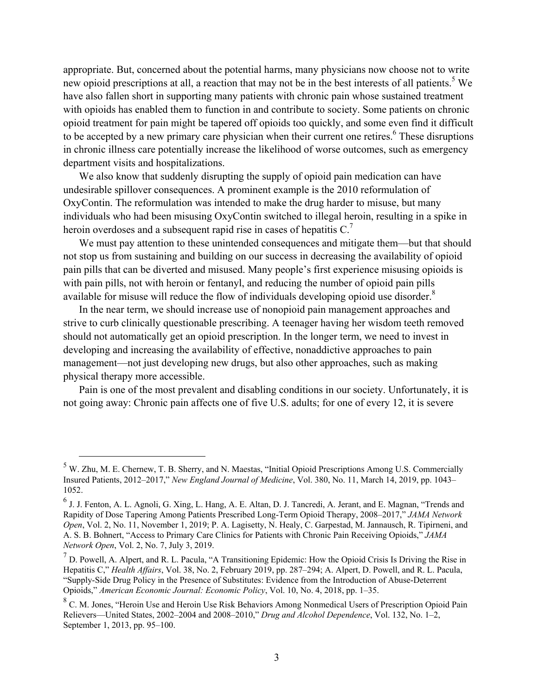appropriate. But, concerned about the potential harms, many physicians now choose not to write new opioid prescriptions at all, a reaction that may not be in the best interests of all patients.<sup>5</sup> We have also fallen short in supporting many patients with chronic pain whose sustained treatment with opioids has enabled them to function in and contribute to society. Some patients on chronic opioid treatment for pain might be tapered off opioids too quickly, and some even find it difficult to be accepted by a new primary care physician when their current one retires.<sup>6</sup> These disruptions in chronic illness care potentially increase the likelihood of worse outcomes, such as emergency department visits and hospitalizations.

We also know that suddenly disrupting the supply of opioid pain medication can have undesirable spillover consequences. A prominent example is the 2010 reformulation of OxyContin. The reformulation was intended to make the drug harder to misuse, but many individuals who had been misusing OxyContin switched to illegal heroin, resulting in a spike in heroin overdoses and a subsequent rapid rise in cases of hepatitis  $C<sup>7</sup>$ 

We must pay attention to these unintended consequences and mitigate them—but that should not stop us from sustaining and building on our success in decreasing the availability of opioid pain pills that can be diverted and misused. Many people's first experience misusing opioids is with pain pills, not with heroin or fentanyl, and reducing the number of opioid pain pills available for misuse will reduce the flow of individuals developing opioid use disorder. $8$ 

In the near term, we should increase use of nonopioid pain management approaches and strive to curb clinically questionable prescribing. A teenager having her wisdom teeth removed should not automatically get an opioid prescription. In the longer term, we need to invest in developing and increasing the availability of effective, nonaddictive approaches to pain management—not just developing new drugs, but also other approaches, such as making physical therapy more accessible.

Pain is one of the most prevalent and disabling conditions in our society. Unfortunately, it is not going away: Chronic pain affects one of five U.S. adults; for one of every 12, it is severe

<sup>&</sup>lt;sup>5</sup> W. Zhu, M. E. Chernew, T. B. Sherry, and N. Maestas, "Initial Opioid Prescriptions Among U.S. Commercially Insured Patients, 2012–2017," *New England Journal of Medicine*, Vol. 380, No. 11, March 14, 2019, pp. 1043– 1052.

<sup>6</sup> J. J. Fenton, A. L. Agnoli, G. Xing, L. Hang, A. E. Altan, D. J. Tancredi, A. Jerant, and E. Magnan, "Trends and Rapidity of Dose Tapering Among Patients Prescribed Long-Term Opioid Therapy, 2008–2017," *JAMA Network Open*, Vol. 2, No. 11, November 1, 2019; P. A. Lagisetty, N. Healy, C. Garpestad, M. Jannausch, R. Tipirneni, and A. S. B. Bohnert, "Access to Primary Care Clinics for Patients with Chronic Pain Receiving Opioids," *JAMA Network Open*, Vol. 2, No. 7, July 3, 2019.

<sup>&</sup>lt;sup>7</sup> D. Powell, A. Alpert, and R. L. Pacula, "A Transitioning Epidemic: How the Opioid Crisis Is Driving the Rise in Hepatitis C," *Health Affairs*, Vol. 38, No. 2, February 2019, pp. 287–294; A. Alpert, D. Powell, and R. L. Pacula, "Supply-Side Drug Policy in the Presence of Substitutes: Evidence from the Introduction of Abuse-Deterrent Opioids," *American Economic Journal: Economic Policy*, Vol. 10, No. 4, 2018, pp. 1–35.

<sup>&</sup>lt;sup>8</sup> C. M. Jones, "Heroin Use and Heroin Use Risk Behaviors Among Nonmedical Users of Prescription Opioid Pain Relievers—United States, 2002–2004 and 2008–2010," *Drug and Alcohol Dependence*, Vol. 132, No. 1–2, September 1, 2013, pp. 95–100.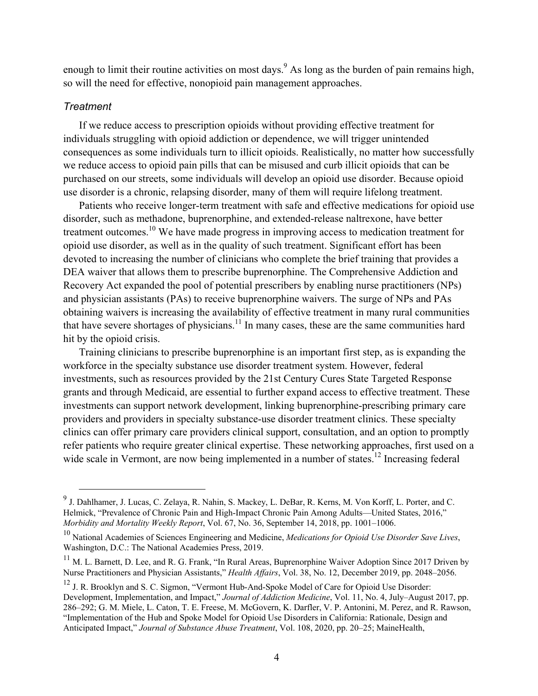enough to limit their routine activities on most days.<sup>9</sup> As long as the burden of pain remains high, so will the need for effective, nonopioid pain management approaches.

#### *Treatment*

If we reduce access to prescription opioids without providing effective treatment for individuals struggling with opioid addiction or dependence, we will trigger unintended consequences as some individuals turn to illicit opioids. Realistically, no matter how successfully we reduce access to opioid pain pills that can be misused and curb illicit opioids that can be purchased on our streets, some individuals will develop an opioid use disorder. Because opioid use disorder is a chronic, relapsing disorder, many of them will require lifelong treatment.

Patients who receive longer-term treatment with safe and effective medications for opioid use disorder, such as methadone, buprenorphine, and extended-release naltrexone, have better treatment outcomes.10 We have made progress in improving access to medication treatment for opioid use disorder, as well as in the quality of such treatment. Significant effort has been devoted to increasing the number of clinicians who complete the brief training that provides a DEA waiver that allows them to prescribe buprenorphine. The Comprehensive Addiction and Recovery Act expanded the pool of potential prescribers by enabling nurse practitioners (NPs) and physician assistants (PAs) to receive buprenorphine waivers. The surge of NPs and PAs obtaining waivers is increasing the availability of effective treatment in many rural communities that have severe shortages of physicians.<sup>11</sup> In many cases, these are the same communities hard hit by the opioid crisis.

Training clinicians to prescribe buprenorphine is an important first step, as is expanding the workforce in the specialty substance use disorder treatment system. However, federal investments, such as resources provided by the 21st Century Cures State Targeted Response grants and through Medicaid, are essential to further expand access to effective treatment. These investments can support network development, linking buprenorphine-prescribing primary care providers and providers in specialty substance-use disorder treatment clinics. These specialty clinics can offer primary care providers clinical support, consultation, and an option to promptly refer patients who require greater clinical expertise. These networking approaches, first used on a wide scale in Vermont, are now being implemented in a number of states.<sup>12</sup> Increasing federal

<sup>9&</sup>lt;br><sup>9</sup> J. Dahlhamer, J. Lucas, C. Zelaya, R. Nahin, S. Mackey, L. DeBar, R. Kerns, M. Von Korff, L. Porter, and C. Helmick, "Prevalence of Chronic Pain and High-Impact Chronic Pain Among Adults—United States, 2016," *Morbidity and Mortality Weekly Report*, Vol. 67, No. 36, September 14, 2018, pp. 1001–1006.

<sup>10</sup> National Academies of Sciences Engineering and Medicine, *Medications for Opioid Use Disorder Save Lives*, Washington, D.C.: The National Academies Press, 2019.

<sup>&</sup>lt;sup>11</sup> M. L. Barnett, D. Lee, and R. G. Frank, "In Rural Areas, Buprenorphine Waiver Adoption Since 2017 Driven by Nurse Practitioners and Physician Assistants," *Health Affairs*, Vol. 38, No. 12, December 2019, pp. 2048–2056.

<sup>&</sup>lt;sup>12</sup> J. R. Brooklyn and S. C. Sigmon, "Vermont Hub-And-Spoke Model of Care for Opioid Use Disorder: Development, Implementation, and Impact," *Journal of Addiction Medicine*, Vol. 11, No. 4, July–August 2017, pp. 286–292; G. M. Miele, L. Caton, T. E. Freese, M. McGovern, K. Darfler, V. P. Antonini, M. Perez, and R. Rawson, "Implementation of the Hub and Spoke Model for Opioid Use Disorders in California: Rationale, Design and Anticipated Impact," *Journal of Substance Abuse Treatment*, Vol. 108, 2020, pp. 20–25; MaineHealth,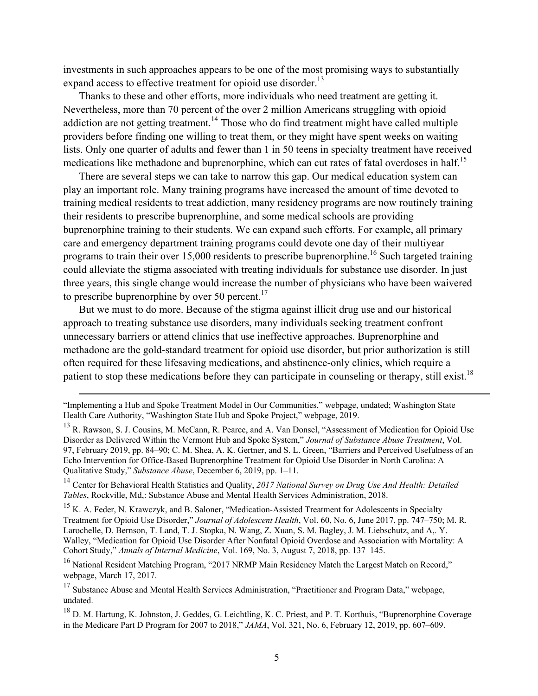investments in such approaches appears to be one of the most promising ways to substantially expand access to effective treatment for opioid use disorder.<sup>13</sup>

Thanks to these and other efforts, more individuals who need treatment are getting it. Nevertheless, more than 70 percent of the over 2 million Americans struggling with opioid addiction are not getting treatment.<sup>14</sup> Those who do find treatment might have called multiple providers before finding one willing to treat them, or they might have spent weeks on waiting lists. Only one quarter of adults and fewer than 1 in 50 teens in specialty treatment have received medications like methadone and buprenorphine, which can cut rates of fatal overdoses in half.<sup>15</sup>

There are several steps we can take to narrow this gap. Our medical education system can play an important role. Many training programs have increased the amount of time devoted to training medical residents to treat addiction, many residency programs are now routinely training their residents to prescribe buprenorphine, and some medical schools are providing buprenorphine training to their students. We can expand such efforts. For example, all primary care and emergency department training programs could devote one day of their multiyear programs to train their over  $15,000$  residents to prescribe buprenorphine.<sup>16</sup> Such targeted training could alleviate the stigma associated with treating individuals for substance use disorder. In just three years, this single change would increase the number of physicians who have been waivered to prescribe buprenorphine by over 50 percent.<sup>17</sup>

But we must to do more. Because of the stigma against illicit drug use and our historical approach to treating substance use disorders, many individuals seeking treatment confront unnecessary barriers or attend clinics that use ineffective approaches. Buprenorphine and methadone are the gold-standard treatment for opioid use disorder, but prior authorization is still often required for these lifesaving medications, and abstinence-only clinics, which require a patient to stop these medications before they can participate in counseling or therapy, still exist.<sup>18</sup>

14 Center for Behavioral Health Statistics and Quality, *2017 National Survey on Drug Use And Health: Detailed Tables*, Rockville, Md,: Substance Abuse and Mental Health Services Administration, 2018.

<sup>15</sup> K. A. Feder, N. Krawczyk, and B. Saloner, "Medication-Assisted Treatment for Adolescents in Specialty Treatment for Opioid Use Disorder," *Journal of Adolescent Health*, Vol. 60, No. 6, June 2017, pp. 747–750; M. R. Larochelle, D. Bernson, T. Land, T. J. Stopka, N. Wang, Z. Xuan, S. M. Bagley, J. M. Liebschutz, and A,. Y. Walley, "Medication for Opioid Use Disorder After Nonfatal Opioid Overdose and Association with Mortality: A Cohort Study," *Annals of Internal Medicine*, Vol. 169, No. 3, August 7, 2018, pp. 137–145.

<sup>16</sup> National Resident Matching Program, "2017 NRMP Main Residency Match the Largest Match on Record," webpage, March 17, 2017.

 $17$  Substance Abuse and Mental Health Services Administration, "Practitioner and Program Data," webpage, undated.

<sup>18</sup> D. M. Hartung, K. Johnston, J. Geddes, G. Leichtling, K. C. Priest, and P. T. Korthuis, "Buprenorphine Coverage in the Medicare Part D Program for 2007 to 2018," *JAMA*, Vol. 321, No. 6, February 12, 2019, pp. 607–609.

<sup>&</sup>quot;Implementing a Hub and Spoke Treatment Model in Our Communities," webpage, undated; Washington State Health Care Authority, "Washington State Hub and Spoke Project," webpage, 2019.

<sup>&</sup>lt;sup>13</sup> R. Rawson, S. J. Cousins, M. McCann, R. Pearce, and A. Van Donsel, "Assessment of Medication for Opioid Use Disorder as Delivered Within the Vermont Hub and Spoke System," *Journal of Substance Abuse Treatment*, Vol. 97, February 2019, pp. 84–90; C. M. Shea, A. K. Gertner, and S. L. Green, "Barriers and Perceived Usefulness of an Echo Intervention for Office-Based Buprenorphine Treatment for Opioid Use Disorder in North Carolina: A Qualitative Study," *Substance Abuse*, December 6, 2019, pp. 1–11.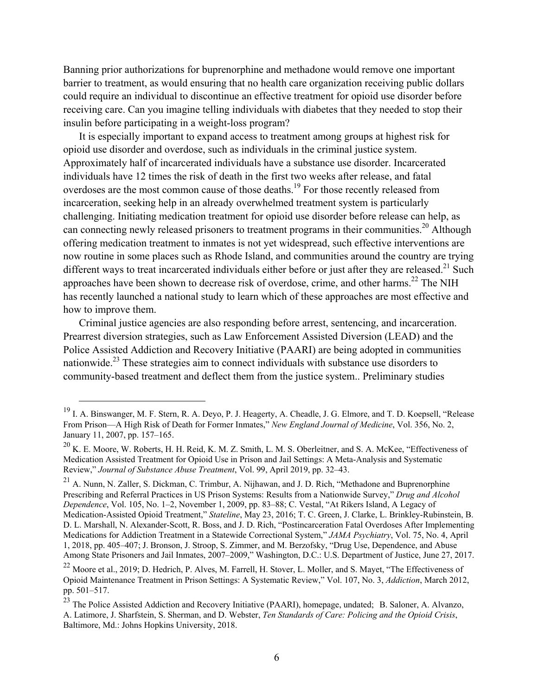Banning prior authorizations for buprenorphine and methadone would remove one important barrier to treatment, as would ensuring that no health care organization receiving public dollars could require an individual to discontinue an effective treatment for opioid use disorder before receiving care. Can you imagine telling individuals with diabetes that they needed to stop their insulin before participating in a weight-loss program?

It is especially important to expand access to treatment among groups at highest risk for opioid use disorder and overdose, such as individuals in the criminal justice system. Approximately half of incarcerated individuals have a substance use disorder. Incarcerated individuals have 12 times the risk of death in the first two weeks after release, and fatal overdoses are the most common cause of those deaths.<sup>19</sup> For those recently released from incarceration, seeking help in an already overwhelmed treatment system is particularly challenging. Initiating medication treatment for opioid use disorder before release can help, as can connecting newly released prisoners to treatment programs in their communities.<sup>20</sup> Although offering medication treatment to inmates is not yet widespread, such effective interventions are now routine in some places such as Rhode Island, and communities around the country are trying different ways to treat incarcerated individuals either before or just after they are released.<sup>21</sup> Such approaches have been shown to decrease risk of overdose, crime, and other harms.<sup>22</sup> The NIH has recently launched a national study to learn which of these approaches are most effective and how to improve them.

Criminal justice agencies are also responding before arrest, sentencing, and incarceration. Prearrest diversion strategies, such as Law Enforcement Assisted Diversion (LEAD) and the Police Assisted Addiction and Recovery Initiative (PAARI) are being adopted in communities nationwide.<sup>23</sup> These strategies aim to connect individuals with substance use disorders to community-based treatment and deflect them from the justice system.. Preliminary studies

 <sup>19</sup> I. A. Binswanger, M. F. Stern, R. A. Deyo, P. J. Heagerty, A. Cheadle, J. G. Elmore, and T. D. Koepsell, "Release From Prison—A High Risk of Death for Former Inmates," *New England Journal of Medicine*, Vol. 356, No. 2, January 11, 2007, pp. 157–165.

<sup>20</sup> K. E. Moore, W. Roberts, H. H. Reid, K. M. Z. Smith, L. M. S. Oberleitner, and S. A. McKee, "Effectiveness of Medication Assisted Treatment for Opioid Use in Prison and Jail Settings: A Meta-Analysis and Systematic Review," *Journal of Substance Abuse Treatment*, Vol. 99, April 2019, pp. 32–43.

<sup>21</sup> A. Nunn, N. Zaller, S. Dickman, C. Trimbur, A. Nijhawan, and J. D. Rich, "Methadone and Buprenorphine Prescribing and Referral Practices in US Prison Systems: Results from a Nationwide Survey," *Drug and Alcohol Dependence*, Vol. 105, No. 1–2, November 1, 2009, pp. 83–88; C. Vestal, "At Rikers Island, A Legacy of Medication-Assisted Opioid Treatment," *Stateline*, May 23, 2016; T. C. Green, J. Clarke, L. Brinkley-Rubinstein, B. D. L. Marshall, N. Alexander-Scott, R. Boss, and J. D. Rich, "Postincarceration Fatal Overdoses After Implementing Medications for Addiction Treatment in a Statewide Correctional System," *JAMA Psychiatry*, Vol. 75, No. 4, April 1, 2018, pp. 405–407; J. Bronson, J. Stroop, S. Zimmer, and M. Berzofsky, "Drug Use, Dependence, and Abuse Among State Prisoners and Jail Inmates, 2007–2009," Washington, D.C.: U.S. Department of Justice, June 27, 2017.

<sup>22</sup> Moore et al., 2019; D. Hedrich, P. Alves, M. Farrell, H. Stover, L. Moller, and S. Mayet, "The Effectiveness of Opioid Maintenance Treatment in Prison Settings: A Systematic Review," Vol. 107, No. 3, *Addiction*, March 2012, pp. 501–517.

<sup>&</sup>lt;sup>23</sup> The Police Assisted Addiction and Recovery Initiative (PAARI), homepage, undated; B. Saloner, A. Alvanzo, A. Latimore, J. Sharfstein, S. Sherman, and D. Webster, *Ten Standards of Care: Policing and the Opioid Crisis*, Baltimore, Md.: Johns Hopkins University, 2018.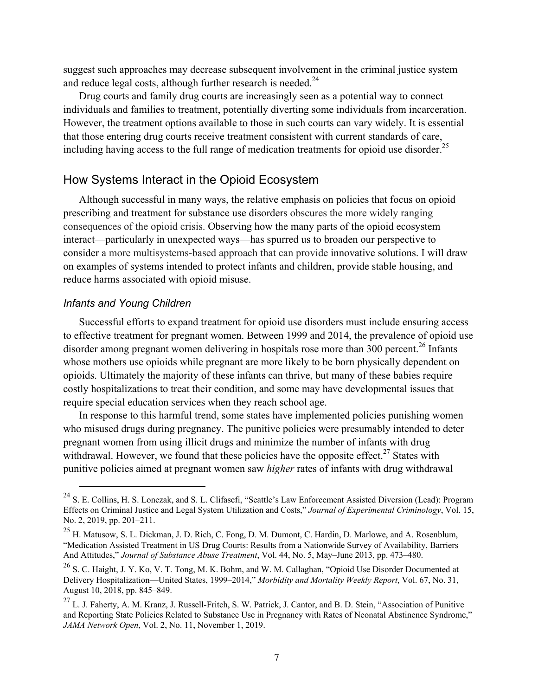suggest such approaches may decrease subsequent involvement in the criminal justice system and reduce legal costs, although further research is needed. $^{24}$ 

Drug courts and family drug courts are increasingly seen as a potential way to connect individuals and families to treatment, potentially diverting some individuals from incarceration. However, the treatment options available to those in such courts can vary widely. It is essential that those entering drug courts receive treatment consistent with current standards of care, including having access to the full range of medication treatments for opioid use disorder.<sup>25</sup>

### How Systems Interact in the Opioid Ecosystem

Although successful in many ways, the relative emphasis on policies that focus on opioid prescribing and treatment for substance use disorders obscures the more widely ranging consequences of the opioid crisis. Observing how the many parts of the opioid ecosystem interact—particularly in unexpected ways—has spurred us to broaden our perspective to consider a more multisystems-based approach that can provide innovative solutions. I will draw on examples of systems intended to protect infants and children, provide stable housing, and reduce harms associated with opioid misuse.

#### *Infants and Young Children*

Successful efforts to expand treatment for opioid use disorders must include ensuring access to effective treatment for pregnant women. Between 1999 and 2014, the prevalence of opioid use disorder among pregnant women delivering in hospitals rose more than 300 percent.<sup>26</sup> Infants whose mothers use opioids while pregnant are more likely to be born physically dependent on opioids. Ultimately the majority of these infants can thrive, but many of these babies require costly hospitalizations to treat their condition, and some may have developmental issues that require special education services when they reach school age.

In response to this harmful trend, some states have implemented policies punishing women who misused drugs during pregnancy. The punitive policies were presumably intended to deter pregnant women from using illicit drugs and minimize the number of infants with drug withdrawal. However, we found that these policies have the opposite effect.<sup>27</sup> States with punitive policies aimed at pregnant women saw *higher* rates of infants with drug withdrawal

<sup>&</sup>lt;sup>24</sup> S. E. Collins, H. S. Lonczak, and S. L. Clifasefi, "Seattle's Law Enforcement Assisted Diversion (Lead): Program Effects on Criminal Justice and Legal System Utilization and Costs," *Journal of Experimental Criminology*, Vol. 15, No. 2, 2019, pp. 201–211.

<sup>25</sup> H. Matusow, S. L. Dickman, J. D. Rich, C. Fong, D. M. Dumont, C. Hardin, D. Marlowe, and A. Rosenblum, "Medication Assisted Treatment in US Drug Courts: Results from a Nationwide Survey of Availability, Barriers And Attitudes," *Journal of Substance Abuse Treatment*, Vol. 44, No. 5, May–June 2013, pp. 473–480.

<sup>26</sup> S. C. Haight, J. Y. Ko, V. T. Tong, M. K. Bohm, and W. M. Callaghan, "Opioid Use Disorder Documented at Delivery Hospitalization—United States, 1999–2014," *Morbidity and Mortality Weekly Report*, Vol. 67, No. 31, August 10, 2018, pp. 845–849.

 $27$  L. J. Faherty, A. M. Kranz, J. Russell-Fritch, S. W. Patrick, J. Cantor, and B. D. Stein, "Association of Punitive and Reporting State Policies Related to Substance Use in Pregnancy with Rates of Neonatal Abstinence Syndrome," *JAMA Network Open*, Vol. 2, No. 11, November 1, 2019.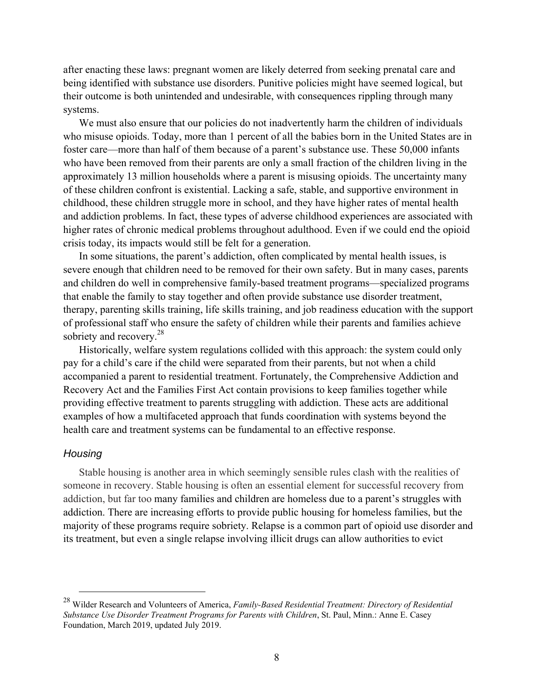after enacting these laws: pregnant women are likely deterred from seeking prenatal care and being identified with substance use disorders. Punitive policies might have seemed logical, but their outcome is both unintended and undesirable, with consequences rippling through many systems.

We must also ensure that our policies do not inadvertently harm the children of individuals who misuse opioids. Today, more than 1 percent of all the babies born in the United States are in foster care—more than half of them because of a parent's substance use. These 50,000 infants who have been removed from their parents are only a small fraction of the children living in the approximately 13 million households where a parent is misusing opioids. The uncertainty many of these children confront is existential. Lacking a safe, stable, and supportive environment in childhood, these children struggle more in school, and they have higher rates of mental health and addiction problems. In fact, these types of adverse childhood experiences are associated with higher rates of chronic medical problems throughout adulthood. Even if we could end the opioid crisis today, its impacts would still be felt for a generation.

In some situations, the parent's addiction, often complicated by mental health issues, is severe enough that children need to be removed for their own safety. But in many cases, parents and children do well in comprehensive family-based treatment programs—specialized programs that enable the family to stay together and often provide substance use disorder treatment, therapy, parenting skills training, life skills training, and job readiness education with the support of professional staff who ensure the safety of children while their parents and families achieve sobriety and recovery.<sup>28</sup>

Historically, welfare system regulations collided with this approach: the system could only pay for a child's care if the child were separated from their parents, but not when a child accompanied a parent to residential treatment. Fortunately, the Comprehensive Addiction and Recovery Act and the Families First Act contain provisions to keep families together while providing effective treatment to parents struggling with addiction. These acts are additional examples of how a multifaceted approach that funds coordination with systems beyond the health care and treatment systems can be fundamental to an effective response.

#### *Housing*

Stable housing is another area in which seemingly sensible rules clash with the realities of someone in recovery. Stable housing is often an essential element for successful recovery from addiction, but far too many families and children are homeless due to a parent's struggles with addiction. There are increasing efforts to provide public housing for homeless families, but the majority of these programs require sobriety. Relapse is a common part of opioid use disorder and its treatment, but even a single relapse involving illicit drugs can allow authorities to evict

 <sup>28</sup> Wilder Research and Volunteers of America, *Family-Based Residential Treatment: Directory of Residential Substance Use Disorder Treatment Programs for Parents with Children*, St. Paul, Minn.: Anne E. Casey Foundation, March 2019, updated July 2019.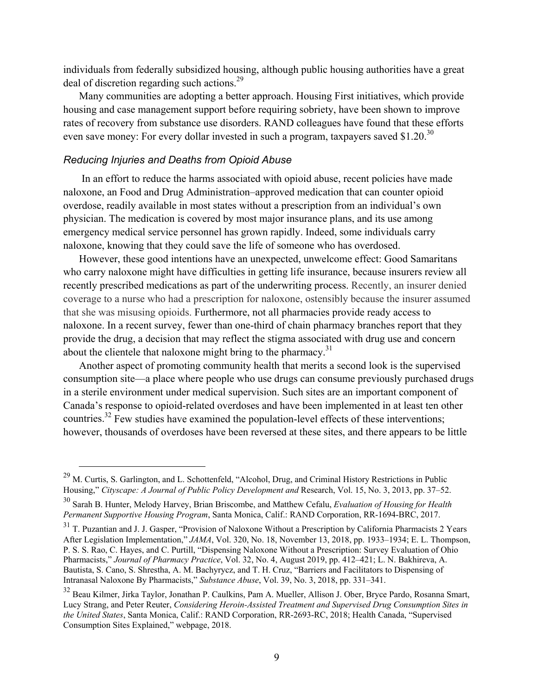individuals from federally subsidized housing, although public housing authorities have a great deal of discretion regarding such actions.<sup>29</sup>

Many communities are adopting a better approach. Housing First initiatives, which provide housing and case management support before requiring sobriety, have been shown to improve rates of recovery from substance use disorders. RAND colleagues have found that these efforts even save money: For every dollar invested in such a program, taxpayers saved \$1.20.<sup>30</sup>

#### *Reducing Injuries and Deaths from Opioid Abuse*

 In an effort to reduce the harms associated with opioid abuse, recent policies have made naloxone, an Food and Drug Administration–approved medication that can counter opioid overdose, readily available in most states without a prescription from an individual's own physician. The medication is covered by most major insurance plans, and its use among emergency medical service personnel has grown rapidly. Indeed, some individuals carry naloxone, knowing that they could save the life of someone who has overdosed.

However, these good intentions have an unexpected, unwelcome effect: Good Samaritans who carry naloxone might have difficulties in getting life insurance, because insurers review all recently prescribed medications as part of the underwriting process. Recently, an insurer denied coverage to a nurse who had a prescription for naloxone, ostensibly because the insurer assumed that she was misusing opioids. Furthermore, not all pharmacies provide ready access to naloxone. In a recent survey, fewer than one-third of chain pharmacy branches report that they provide the drug, a decision that may reflect the stigma associated with drug use and concern about the clientele that naloxone might bring to the pharmacy.<sup>31</sup>

Another aspect of promoting community health that merits a second look is the supervised consumption site—a place where people who use drugs can consume previously purchased drugs in a sterile environment under medical supervision. Such sites are an important component of Canada's response to opioid-related overdoses and have been implemented in at least ten other countries.32 Few studies have examined the population-level effects of these interventions; however, thousands of overdoses have been reversed at these sites, and there appears to be little

<sup>&</sup>lt;sup>29</sup> M. Curtis, S. Garlington, and L. Schottenfeld, "Alcohol, Drug, and Criminal History Restrictions in Public Housing," *Cityscape: A Journal of Public Policy Development and* Research, Vol. 15, No. 3, 2013, pp. 37–52.

<sup>30</sup> Sarah B. Hunter, Melody Harvey, Brian Briscombe, and Matthew Cefalu, *Evaluation of Housing for Health Permanent Supportive Housing Program*, Santa Monica, Calif.: RAND Corporation, RR-1694-BRC, 2017.

<sup>&</sup>lt;sup>31</sup> T. Puzantian and J. J. Gasper, "Provision of Naloxone Without a Prescription by California Pharmacists 2 Years After Legislation Implementation," *JAMA*, Vol. 320, No. 18, November 13, 2018, pp. 1933–1934; E. L. Thompson, P. S. S. Rao, C. Hayes, and C. Purtill, "Dispensing Naloxone Without a Prescription: Survey Evaluation of Ohio Pharmacists," *Journal of Pharmacy Practice*, Vol. 32, No. 4, August 2019, pp. 412–421; L. N. Bakhireva, A. Bautista, S. Cano, S. Shrestha, A. M. Bachyrycz, and T. H. Cruz, "Barriers and Facilitators to Dispensing of Intranasal Naloxone By Pharmacists," *Substance Abuse*, Vol. 39, No. 3, 2018, pp. 331–341.

<sup>32</sup> Beau Kilmer, Jirka Taylor, Jonathan P. Caulkins, Pam A. Mueller, Allison J. Ober, Bryce Pardo, Rosanna Smart, Lucy Strang, and Peter Reuter, *Considering Heroin-Assisted Treatment and Supervised Drug Consumption Sites in the United States*, Santa Monica, Calif.: RAND Corporation, RR-2693-RC, 2018; Health Canada, "Supervised Consumption Sites Explained," webpage, 2018.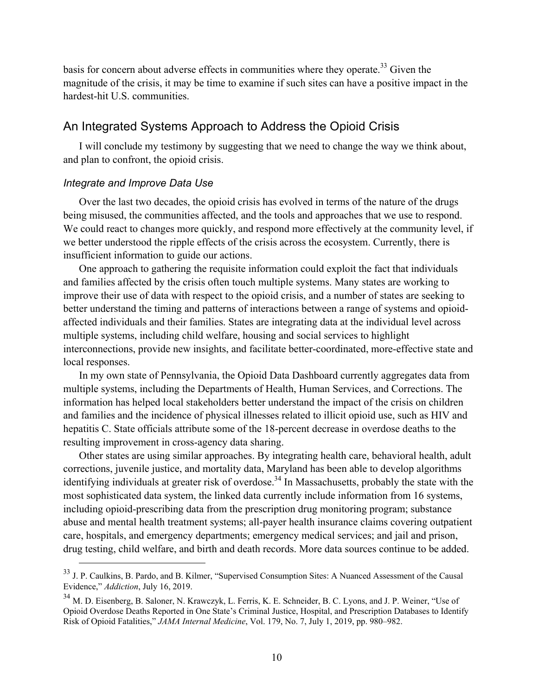basis for concern about adverse effects in communities where they operate.<sup>33</sup> Given the magnitude of the crisis, it may be time to examine if such sites can have a positive impact in the hardest-hit U.S. communities.

## An Integrated Systems Approach to Address the Opioid Crisis

I will conclude my testimony by suggesting that we need to change the way we think about, and plan to confront, the opioid crisis.

#### *Integrate and Improve Data Use*

Over the last two decades, the opioid crisis has evolved in terms of the nature of the drugs being misused, the communities affected, and the tools and approaches that we use to respond. We could react to changes more quickly, and respond more effectively at the community level, if we better understood the ripple effects of the crisis across the ecosystem. Currently, there is insufficient information to guide our actions.

One approach to gathering the requisite information could exploit the fact that individuals and families affected by the crisis often touch multiple systems. Many states are working to improve their use of data with respect to the opioid crisis, and a number of states are seeking to better understand the timing and patterns of interactions between a range of systems and opioidaffected individuals and their families. States are integrating data at the individual level across multiple systems, including child welfare, housing and social services to highlight interconnections, provide new insights, and facilitate better-coordinated, more-effective state and local responses.

In my own state of Pennsylvania, the Opioid Data Dashboard currently aggregates data from multiple systems, including the Departments of Health, Human Services, and Corrections. The information has helped local stakeholders better understand the impact of the crisis on children and families and the incidence of physical illnesses related to illicit opioid use, such as HIV and hepatitis C. State officials attribute some of the 18-percent decrease in overdose deaths to the resulting improvement in cross-agency data sharing.

Other states are using similar approaches. By integrating health care, behavioral health, adult corrections, juvenile justice, and mortality data, Maryland has been able to develop algorithms identifying individuals at greater risk of overdose.<sup>34</sup> In Massachusetts, probably the state with the most sophisticated data system, the linked data currently include information from 16 systems, including opioid-prescribing data from the prescription drug monitoring program; substance abuse and mental health treatment systems; all-payer health insurance claims covering outpatient care, hospitals, and emergency departments; emergency medical services; and jail and prison, drug testing, child welfare, and birth and death records. More data sources continue to be added.

<sup>&</sup>lt;sup>33</sup> J. P. Caulkins, B. Pardo, and B. Kilmer, "Supervised Consumption Sites: A Nuanced Assessment of the Causal Evidence," *Addiction*, July 16, 2019.

<sup>34</sup> M. D. Eisenberg, B. Saloner, N. Krawczyk, L. Ferris, K. E. Schneider, B. C. Lyons, and J. P. Weiner, "Use of Opioid Overdose Deaths Reported in One State's Criminal Justice, Hospital, and Prescription Databases to Identify Risk of Opioid Fatalities," *JAMA Internal Medicine*, Vol. 179, No. 7, July 1, 2019, pp. 980–982.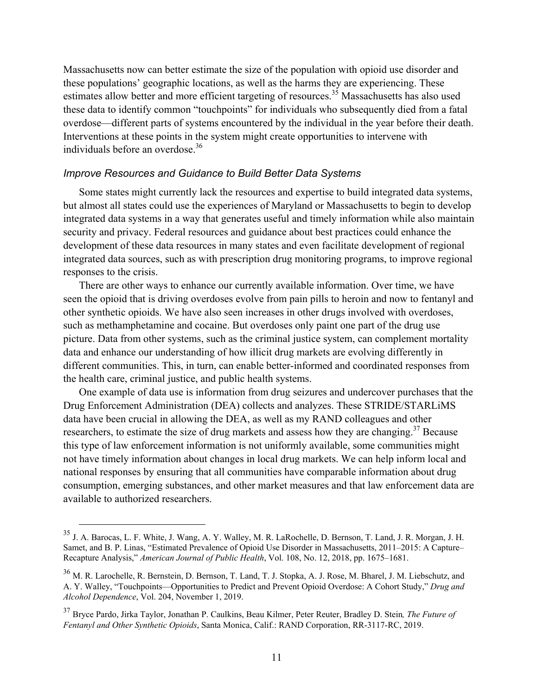Massachusetts now can better estimate the size of the population with opioid use disorder and these populations' geographic locations, as well as the harms they are experiencing. These estimates allow better and more efficient targeting of resources.<sup>35</sup> Massachusetts has also used these data to identify common "touchpoints" for individuals who subsequently died from a fatal overdose—different parts of systems encountered by the individual in the year before their death. Interventions at these points in the system might create opportunities to intervene with individuals before an overdose.<sup>36</sup>

#### *Improve Resources and Guidance to Build Better Data Systems*

Some states might currently lack the resources and expertise to build integrated data systems, but almost all states could use the experiences of Maryland or Massachusetts to begin to develop integrated data systems in a way that generates useful and timely information while also maintain security and privacy. Federal resources and guidance about best practices could enhance the development of these data resources in many states and even facilitate development of regional integrated data sources, such as with prescription drug monitoring programs, to improve regional responses to the crisis.

There are other ways to enhance our currently available information. Over time, we have seen the opioid that is driving overdoses evolve from pain pills to heroin and now to fentanyl and other synthetic opioids. We have also seen increases in other drugs involved with overdoses, such as methamphetamine and cocaine. But overdoses only paint one part of the drug use picture. Data from other systems, such as the criminal justice system, can complement mortality data and enhance our understanding of how illicit drug markets are evolving differently in different communities. This, in turn, can enable better-informed and coordinated responses from the health care, criminal justice, and public health systems.

One example of data use is information from drug seizures and undercover purchases that the Drug Enforcement Administration (DEA) collects and analyzes. These STRIDE/STARLiMS data have been crucial in allowing the DEA, as well as my RAND colleagues and other researchers, to estimate the size of drug markets and assess how they are changing.<sup>37</sup> Because this type of law enforcement information is not uniformly available, some communities might not have timely information about changes in local drug markets. We can help inform local and national responses by ensuring that all communities have comparable information about drug consumption, emerging substances, and other market measures and that law enforcement data are available to authorized researchers.

 <sup>35</sup> J. A. Barocas, L. F. White, J. Wang, A. Y. Walley, M. R. LaRochelle, D. Bernson, T. Land, J. R. Morgan, J. H. Samet, and B. P. Linas, "Estimated Prevalence of Opioid Use Disorder in Massachusetts, 2011–2015: A Capture– Recapture Analysis," *American Journal of Public Health*, Vol. 108, No. 12, 2018, pp. 1675–1681.

<sup>36</sup> M. R. Larochelle, R. Bernstein, D. Bernson, T. Land, T. J. Stopka, A. J. Rose, M. Bharel, J. M. Liebschutz, and A. Y. Walley, "Touchpoints—Opportunities to Predict and Prevent Opioid Overdose: A Cohort Study," *Drug and Alcohol Dependence*, Vol. 204, November 1, 2019.

<sup>37</sup> Bryce Pardo, Jirka Taylor, Jonathan P. Caulkins, Beau Kilmer, Peter Reuter, Bradley D. Stein*, The Future of Fentanyl and Other Synthetic Opioids*, Santa Monica, Calif.: RAND Corporation, RR-3117-RC, 2019.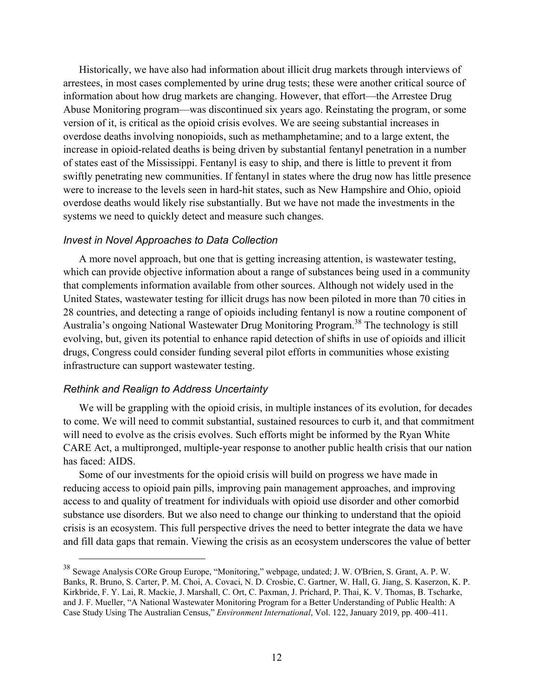Historically, we have also had information about illicit drug markets through interviews of arrestees, in most cases complemented by urine drug tests; these were another critical source of information about how drug markets are changing. However, that effort—the Arrestee Drug Abuse Monitoring program—was discontinued six years ago. Reinstating the program, or some version of it, is critical as the opioid crisis evolves. We are seeing substantial increases in overdose deaths involving nonopioids, such as methamphetamine; and to a large extent, the increase in opioid-related deaths is being driven by substantial fentanyl penetration in a number of states east of the Mississippi. Fentanyl is easy to ship, and there is little to prevent it from swiftly penetrating new communities. If fentanyl in states where the drug now has little presence were to increase to the levels seen in hard-hit states, such as New Hampshire and Ohio, opioid overdose deaths would likely rise substantially. But we have not made the investments in the systems we need to quickly detect and measure such changes.

#### *Invest in Novel Approaches to Data Collection*

A more novel approach, but one that is getting increasing attention, is wastewater testing, which can provide objective information about a range of substances being used in a community that complements information available from other sources. Although not widely used in the United States, wastewater testing for illicit drugs has now been piloted in more than 70 cities in 28 countries, and detecting a range of opioids including fentanyl is now a routine component of Australia's ongoing National Wastewater Drug Monitoring Program.38 The technology is still evolving, but, given its potential to enhance rapid detection of shifts in use of opioids and illicit drugs, Congress could consider funding several pilot efforts in communities whose existing infrastructure can support wastewater testing.

#### *Rethink and Realign to Address Uncertainty*

We will be grappling with the opioid crisis, in multiple instances of its evolution, for decades to come. We will need to commit substantial, sustained resources to curb it, and that commitment will need to evolve as the crisis evolves. Such efforts might be informed by the Ryan White CARE Act, a multipronged, multiple-year response to another public health crisis that our nation has faced: AIDS.

Some of our investments for the opioid crisis will build on progress we have made in reducing access to opioid pain pills, improving pain management approaches, and improving access to and quality of treatment for individuals with opioid use disorder and other comorbid substance use disorders. But we also need to change our thinking to understand that the opioid crisis is an ecosystem. This full perspective drives the need to better integrate the data we have and fill data gaps that remain. Viewing the crisis as an ecosystem underscores the value of better

 <sup>38</sup> Sewage Analysis CORe Group Europe, "Monitoring," webpage, undated; J. W. O'Brien, S. Grant, A. P. W. Banks, R. Bruno, S. Carter, P. M. Choi, A. Covaci, N. D. Crosbie, C. Gartner, W. Hall, G. Jiang, S. Kaserzon, K. P. Kirkbride, F. Y. Lai, R. Mackie, J. Marshall, C. Ort, C. Paxman, J. Prichard, P. Thai, K. V. Thomas, B. Tscharke, and J. F. Mueller, "A National Wastewater Monitoring Program for a Better Understanding of Public Health: A Case Study Using The Australian Census," *Environment International*, Vol. 122, January 2019, pp. 400–411.